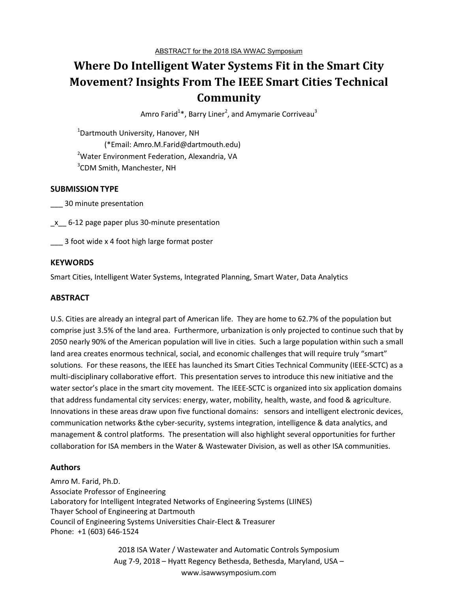# **Where Do Intelligent Water Systems Fit in the Smart City Movement? Insights From The IEEE Smart Cities Technical Community**

Amro Farid $^{1\ast}$ , Barry Liner<sup>2</sup>, and Amymarie Corriveau $^3$ 

<sup>1</sup>Dartmouth University, Hanover, NH (\*Email: Amro.M.Farid@dartmouth.edu) <sup>2</sup>Water Environment Federation, Alexandria, VA 3 CDM Smith, Manchester, NH

### **SUBMISSION TYPE**

\_\_\_ 30 minute presentation

 $x$  6-12 page paper plus 30-minute presentation

\_\_\_ 3 foot wide x 4 foot high large format poster

#### **KEYWORDS**

Smart Cities, Intelligent Water Systems, Integrated Planning, Smart Water, Data Analytics

## **ABSTRACT**

U.S. Cities are already an integral part of American life. They are home to 62.7% of the population but comprise just 3.5% of the land area. Furthermore, urbanization is only projected to continue such that by 2050 nearly 90% of the American population will live in cities. Such a large population within such a small land area creates enormous technical, social, and economic challenges that will require truly "smart" solutions. For these reasons, the IEEE has launched its Smart Cities Technical Community (IEEE-SCTC) as a multi-disciplinary collaborative effort. This presentation serves to introduce this new initiative and the water sector's place in the smart city movement. The IEEE-SCTC is organized into six application domains that address fundamental city services: energy, water, mobility, health, waste, and food & agriculture. Innovations in these areas draw upon five functional domains: sensors and intelligent electronic devices, communication networks &the cyber-security, systems integration, intelligence & data analytics, and management & control platforms. The presentation will also highlight several opportunities for further collaboration for ISA members in the Water & Wastewater Division, as well as other ISA communities.

## **Authors**

Amro M. Farid, Ph.D. Associate Professor of Engineering Laboratory for Intelligent Integrated Networks of Engineering Systems (LIINES) Thayer School of Engineering at Dartmouth Council of Engineering Systems Universities Chair-Elect & Treasurer Phone: +1 (603) 646-1524

> 2018 ISA Water / Wastewater and Automatic Controls Symposium Aug 7-9, 2018 – Hyatt Regency Bethesda, Bethesda, Maryland, USA – www.isawwsymposium.com